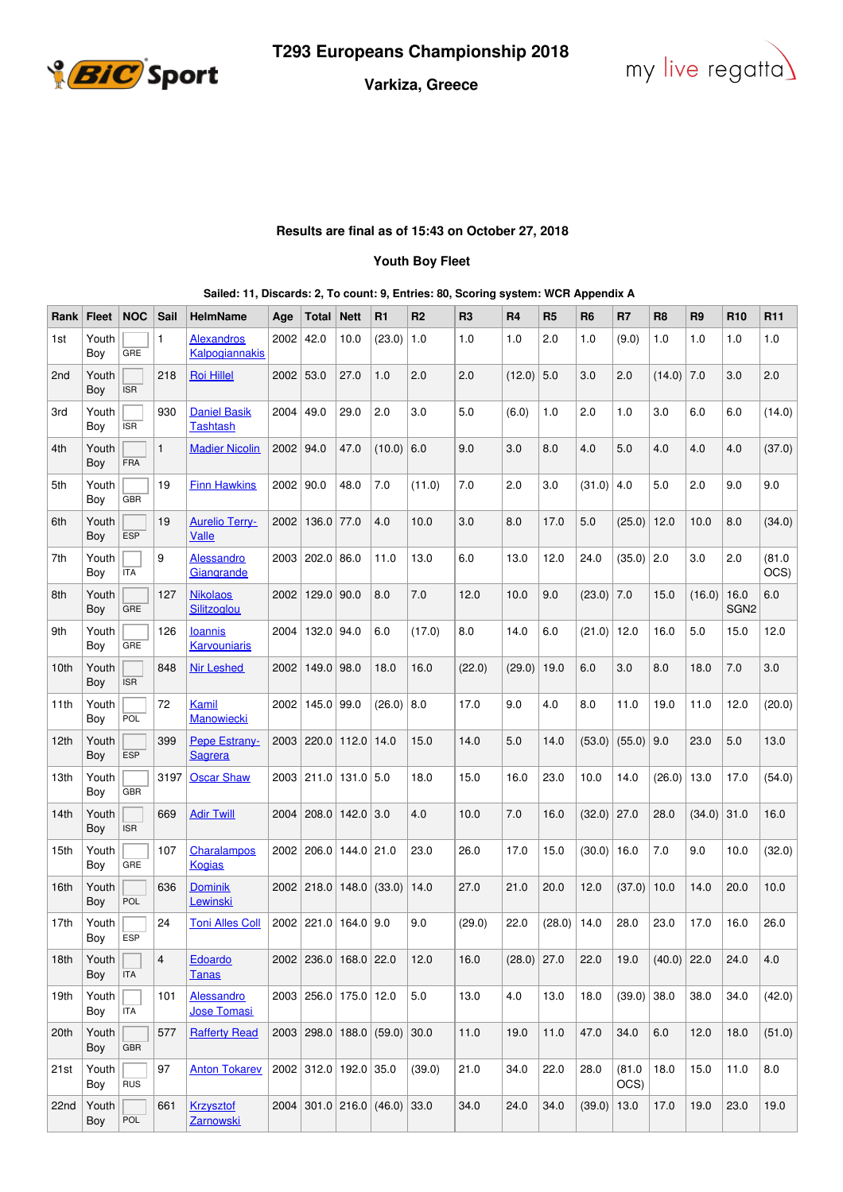



## **Varkiza, Greece**

## **Results are final as of 15:43 on October 27, 2018**

## **Youth Boy Fleet**

|  |  |  |  |  |  | Sailed: 11, Discards: 2, To count: 9, Entries: 80, Scoring system: WCR Appendix A |
|--|--|--|--|--|--|-----------------------------------------------------------------------------------|
|--|--|--|--|--|--|-----------------------------------------------------------------------------------|

| Rank            | <b>Fleet</b> | <b>NOC</b> | Sail                    | <b>HelmName</b>                        | Age         | Total        | <b>Nett</b>           | R <sub>1</sub>                 | R <sub>2</sub> | R <sub>3</sub> | R4     | R <sub>5</sub> | R <sub>6</sub> | R7             | R <sub>8</sub> | R <sub>9</sub> | R <sub>10</sub>          | R <sub>11</sub> |
|-----------------|--------------|------------|-------------------------|----------------------------------------|-------------|--------------|-----------------------|--------------------------------|----------------|----------------|--------|----------------|----------------|----------------|----------------|----------------|--------------------------|-----------------|
| 1st             | Youth<br>Boy | GRE        | 1                       | <b>Alexandros</b><br>Kalpogiannakis    | 2002        | 42.0         | 10.0                  | (23.0)                         | 1.0            | 1.0            | 1.0    | 2.0            | 1.0            | (9.0)          | 1.0            | 1.0            | 1.0                      | 1.0             |
| 2 <sub>nd</sub> | Youth<br>Boy | <b>ISR</b> | 218                     | <b>Roi Hillel</b>                      | $2002$ 53.0 |              | 27.0                  | 1.0                            | 2.0            | 2.0            | (12.0) | 5.0            | 3.0            | 2.0            | (14.0)         | 7.0            | 3.0                      | 2.0             |
| 3rd             | Youth<br>Boy | <b>ISR</b> | 930                     | <b>Daniel Basik</b><br><b>Tashtash</b> | 2004 49.0   |              | 29.0                  | 2.0                            | 3.0            | 5.0            | (6.0)  | 1.0            | 2.0            | 1.0            | 3.0            | 6.0            | 6.0                      | (14.0)          |
| 4th             | Youth<br>Boy | FRA        | $\mathbf{1}$            | <b>Madier Nicolin</b>                  | 2002 94.0   |              | 47.0                  | (10.0)                         | 6.0            | 9.0            | 3.0    | 8.0            | 4.0            | 5.0            | 4.0            | 4.0            | 4.0                      | (37.0)          |
| 5th             | Youth<br>Boy | <b>GBR</b> | 19                      | <b>Finn Hawkins</b>                    | $2002$ 90.0 |              | 48.0                  | 7.0                            | (11.0)         | 7.0            | 2.0    | 3.0            | (31.0)         | 4.0            | 5.0            | 2.0            | 9.0                      | 9.0             |
| 6th             | Youth<br>Boy | <b>ESP</b> | 19                      | <b>Aurelio Terry-</b><br>Valle         | 2002        | 136.0        | 77.0                  | 4.0                            | 10.0           | 3.0            | 8.0    | 17.0           | $5.0\,$        | (25.0)         | 12.0           | 10.0           | 8.0                      | (34.0)          |
| 7th             | Youth<br>Boy | <b>ITA</b> | 9                       | <b>Alessandro</b><br>Giangrande        | 2003        | 202.0        | 86.0                  | 11.0                           | 13.0           | 6.0            | 13.0   | 12.0           | 24.0           | (35.0)         | 2.0            | 3.0            | 2.0                      | (81.0)<br>OCS)  |
| 8th             | Youth<br>Boy | <b>GRE</b> | 127                     | <b>Nikolaos</b><br><b>Silitzoglou</b>  |             | 2002   129.0 | 90.0                  | 8.0                            | 7.0            | 12.0           | 10.0   | 9.0            | (23.0)         | 7.0            | 15.0           | (16.0)         | 16.0<br>SGN <sub>2</sub> | 6.0             |
| 9th             | Youth<br>Boy | GRE        | 126                     | <b>Ioannis</b><br><b>Karvouniaris</b>  | 2004        | 132.0        | 94.0                  | 6.0                            | (17.0)         | 8.0            | 14.0   | 6.0            | (21.0)         | 12.0           | 16.0           | 5.0            | 15.0                     | 12.0            |
| 10th            | Youth<br>Boy | <b>ISR</b> | 848                     | <b>Nir Leshed</b>                      | 2002        | 149.0 98.0   |                       | 18.0                           | 16.0           | (22.0)         | (29.0) | 19.0           | 6.0            | 3.0            | 8.0            | 18.0           | 7.0                      | 3.0             |
| 11th            | Youth<br>Boy | POL        | 72                      | Kamil<br>Manowiecki                    |             | 2002   145.0 | 99.0                  | (26.0)                         | 8.0            | 17.0           | 9.0    | 4.0            | 8.0            | 11.0           | 19.0           | 11.0           | 12.0                     | (20.0)          |
| 12th            | Youth<br>Boy | <b>ESP</b> | 399                     | Pepe Estrany-<br>Sagrera               |             |              | 2003 220.0 112.0      | 14.0                           | 15.0           | 14.0           | 5.0    | 14.0           | (53.0)         | $(55.0)$ 9.0   |                | 23.0           | 5.0                      | 13.0            |
| 13th            | Youth<br>Boy | GBR        | 3197                    | <b>Oscar Shaw</b>                      |             |              | 2003 211.0 131.0 5.0  |                                | 18.0           | 15.0           | 16.0   | 23.0           | 10.0           | 14.0           | (26.0)         | 13.0           | 17.0                     | (54.0)          |
| 14th            | Youth<br>Boy | <b>ISR</b> | 669                     | <b>Adir Twill</b>                      | 2004        | 208.0        | 142.0                 | 3.0                            | 4.0            | 10.0           | 7.0    | 16.0           | (32.0)         | 27.0           | 28.0           | (34.0)         | 31.0                     | 16.0            |
| 15th            | Youth<br>Boy | GRE        | 107                     | Charalampos<br><b>Kogias</b>           |             | 2002 206.0   | $144.0$ 21.0          |                                | 23.0           | 26.0           | 17.0   | 15.0           | (30.0)         | 16.0           | 7.0            | 9.0            | 10.0                     | (32.0)          |
| 16th            | Youth<br>Boy | POL        | 636                     | <b>Dominik</b><br>Lewinski             |             | 2002 218.0   | 148.0                 | (33.0)                         | 14.0           | 27.0           | 21.0   | 20.0           | 12.0           | (37.0)         | 10.0           | 14.0           | 20.0                     | 10.0            |
| 17th            | Youth<br>Boy | ESP        | 24                      | <b>Toni Alles Coll</b>                 |             | 2002 221.0   | 164.0   9.0           |                                | 9.0            | (29.0)         | 22.0   | (28.0)         | 14.0           | 28.0           | 23.0           | 17.0           | 16.0                     | 26.0            |
| 18th            | Youth<br>Boy | <b>ITA</b> | $\overline{\mathbf{4}}$ | Edoardo<br><b>Tanas</b>                |             |              | 2002 236.0 168.0 22.0 |                                | 12.0           | 16.0           | (28.0) | 27.0           | 22.0           | 19.0           | (40.0)         | 22.0           | 24.0                     | 4.0             |
| 19th            | Youth<br>Boy | <b>ITA</b> | 101                     | <b>Alessandro</b><br>Jose Tomasi       |             |              | 2003 256.0 175.0 12.0 |                                | 5.0            | 13.0           | 4.0    | 13.0           | 18.0           | $(39.0)$ 38.0  |                | 38.0           | 34.0                     | (42.0)          |
| 20th            | Youth<br>Boy | <b>GBR</b> | 577                     | <b>Rafferty Read</b>                   |             |              |                       | 2003 298.0 188.0 (59.0)        | 30.0           | 11.0           | 19.0   | 11.0           | 47.0           | 34.0           | 6.0            | 12.0           | 18.0                     | (51.0)          |
| 21st            | Youth<br>Boy | <b>RUS</b> | 97                      | <b>Anton Tokarev</b>                   |             |              | 2002 312.0 192.0 35.0 |                                | (39.0)         | 21.0           | 34.0   | 22.0           | 28.0           | (81.0)<br>OCS) | 18.0           | 15.0           | 11.0                     | 8.0             |
| 22nd            | Youth<br>Boy | POL        | 661                     | <b>Krzysztof</b><br><b>Zarnowski</b>   |             |              |                       | $2004$ 301.0 216.0 (46.0) 33.0 |                | 34.0           | 24.0   | 34.0           | (39.0)         | 13.0           | 17.0           | 19.0           | 23.0                     | 19.0            |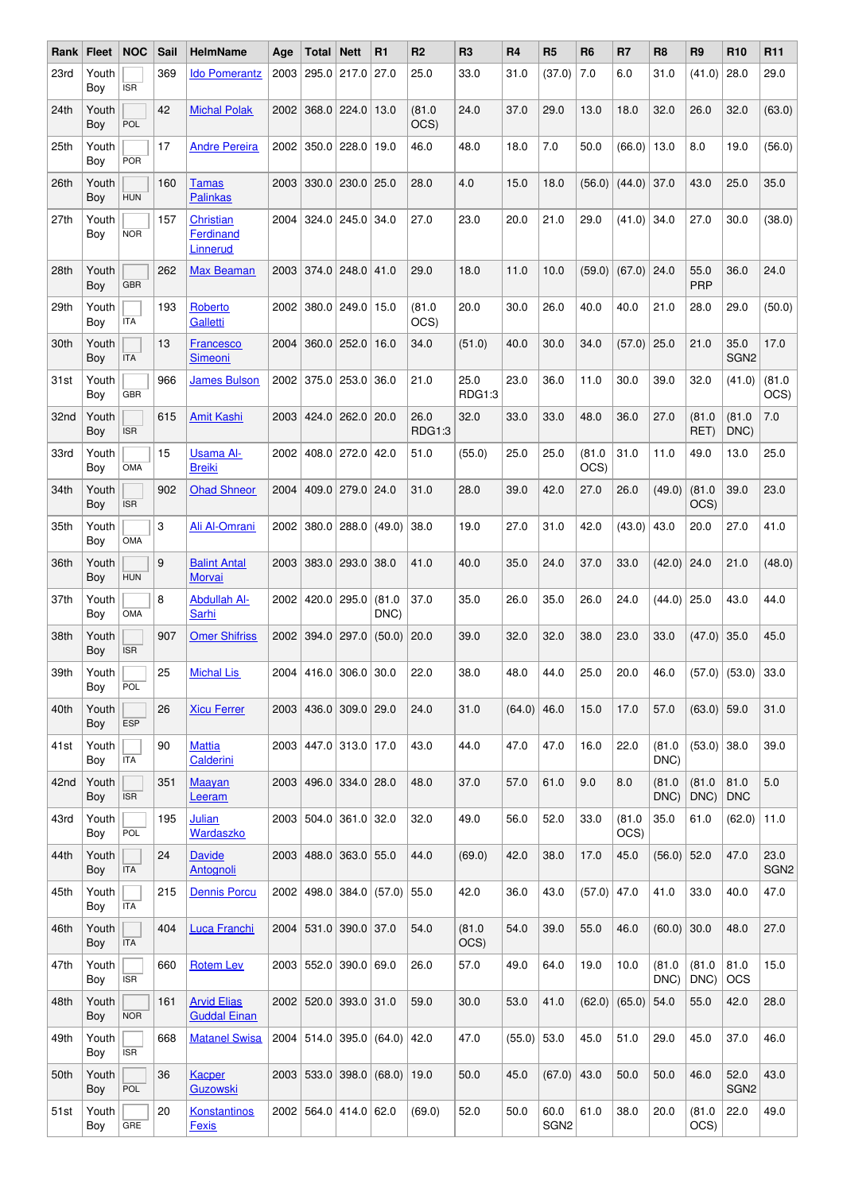| Rank | Fleet        | <b>NOC</b> | Sail | <b>HelmName</b>                                  | Age  | Total            | <b>Nett</b>                 | R <sub>1</sub>               | R <sub>2</sub> | R <sub>3</sub> | <b>R4</b>    | R <sub>5</sub>           | R <sub>6</sub> | R7             | R <sub>8</sub> | R <sub>9</sub> | R <sub>10</sub>          | R <sub>11</sub>          |
|------|--------------|------------|------|--------------------------------------------------|------|------------------|-----------------------------|------------------------------|----------------|----------------|--------------|--------------------------|----------------|----------------|----------------|----------------|--------------------------|--------------------------|
| 23rd | Youth<br>Boy | <b>ISR</b> | 369  | <b>Ido Pomerantz</b>                             | 2003 | 295.0            | 217.0                       | 27.0                         | 25.0           | 33.0           | 31.0         | (37.0)                   | 7.0            | 6.0            | 31.0           | (41.0)         | 28.0                     | 29.0                     |
| 24th | Youth<br>Boy | POL        | 42   | <b>Michal Polak</b>                              |      |                  | 2002 368.0 224.0            | 13.0                         | (81.0)<br>OCS) | 24.0           | 37.0         | 29.0                     | 13.0           | 18.0           | 32.0           | 26.0           | 32.0                     | (63.0)                   |
| 25th | Youth<br>Boy | <b>POR</b> | 17   | <b>Andre Pereira</b>                             |      | 2002 350.0       | 228.0                       | 19.0                         | 46.0           | 48.0           | 18.0         | 7.0                      | 50.0           | (66.0)         | 13.0           | 8.0            | 19.0                     | (56.0)                   |
| 26th | Youth<br>Boy | <b>HUN</b> | 160  | Tamas<br><b>Palinkas</b>                         | 2003 | 330.0            | 230.0                       | 25.0                         | 28.0           | 4.0            | 15.0         | 18.0                     | (56.0)         | (44.0)         | 37.0           | 43.0           | 25.0                     | 35.0                     |
| 27th | Youth<br>Boy | <b>NOR</b> | 157  | <b>Christian</b><br><b>Ferdinand</b><br>Linnerud | 2004 |                  | $324.0$   245.0   34.0      |                              | 27.0           | 23.0           | 20.0         | 21.0                     | 29.0           | (41.0)         | 34.0           | 27.0           | 30.0                     | (38.0)                   |
| 28th | Youth<br>Boy | <b>GBR</b> | 262  | <b>Max Beaman</b>                                |      |                  | 2003 374.0 248.0 41.0       |                              | 29.0           | 18.0           | 11.0         | 10.0                     | (59.0)         | $(67.0)$ 24.0  |                | 55.0<br>PRP    | 36.0                     | 24.0                     |
| 29th | Youth<br>Boy | <b>ITA</b> | 193  | Roberto<br>Galletti                              | 2002 |                  | $380.0$ 249.0               | 15.0                         | (81.0)<br>OCS) | 20.0           | 30.0         | 26.0                     | 40.0           | 40.0           | 21.0           | 28.0           | 29.0                     | (50.0)                   |
| 30th | Youth<br>Boy | <b>ITA</b> | 13   | Francesco<br>Simeoni                             | 2004 |                  | $360.0$ 252.0               | 16.0                         | 34.0           | (51.0)         | 40.0         | 30.0                     | 34.0           | (57.0)         | 25.0           | 21.0           | 35.0<br>SGN <sub>2</sub> | 17.0                     |
| 31st | Youth<br>Boy | <b>GBR</b> | 966  | <b>James Bulson</b>                              |      |                  | 2002 375.0 253.0            | 36.0                         | 21.0           | 25.0<br>RDG1:3 | 23.0         | 36.0                     | 11.0           | 30.0           | 39.0           | 32.0           | (41.0)                   | (81.0)<br>OCS)           |
| 32nd | Youth<br>Boy | <b>ISR</b> | 615  | <b>Amit Kashi</b>                                |      |                  | 2003   424.0   262.0   20.0 |                              | 26.0<br>RDG1:3 | 32.0           | 33.0         | 33.0                     | 48.0           | 36.0           | 27.0           | (81.0)<br>RET) | (81.0)<br>DNC)           | 7.0                      |
| 33rd | Youth<br>Boy | OMA        | 15   | <b>Usama Al-</b><br><b>Breiki</b>                | 2002 |                  | 408.0 272.0                 | 42.0                         | 51.0           | (55.0)         | 25.0         | 25.0                     | (81.0)<br>OCS) | 31.0           | 11.0           | 49.0           | 13.0                     | 25.0                     |
| 34th | Youth<br>Boy | <b>ISR</b> | 902  | <b>Ohad Shneor</b>                               | 2004 | 409.0            | $279.0$ 24.0                |                              | 31.0           | 28.0           | 39.0         | 42.0                     | 27.0           | 26.0           | (49.0)         | (81.0)<br>OCS) | 39.0                     | 23.0                     |
| 35th | Youth<br>Boy | OMA        | 3    | Ali Al-Omrani                                    |      |                  | 2002 380.0 288.0            | (49.0)                       | 38.0           | 19.0           | 27.0         | 31.0                     | 42.0           | (43.0)         | 43.0           | 20.0           | 27.0                     | 41.0                     |
| 36th | Youth<br>Boy | <b>HUN</b> | 9    | <b>Balint Antal</b><br>Morvai                    | 2003 |                  | $383.0$ 293.0               | 38.0                         | 41.0           | 40.0           | 35.0         | 24.0                     | 37.0           | 33.0           | (42.0)         | 24.0           | 21.0                     | (48.0)                   |
| 37th | Youth<br>Boy | OMA        | 8    | <b>Abdullah Al-</b><br>Sarhi                     | 2002 | 420.0            | 295.0                       | (81.0)<br>DNC)               | 37.0           | 35.0           | 26.0         | 35.0                     | 26.0           | 24.0           | (44.0)         | 25.0           | 43.0                     | 44.0                     |
| 38th | Youth<br>Boy | <b>ISR</b> | 907  | <b>Omer Shifriss</b>                             |      | 2002 394.0 297.0 |                             | (50.0)                       | 20.0           | 39.0           | 32.0         | 32.0                     | 38.0           | 23.0           | 33.0           | $(47.0)$ 35.0  |                          | 45.0                     |
| 39th | Youth<br>Boy | POL        | 25   | <b>Michal Lis</b>                                |      |                  | 2004 416.0 306.0 30.0       |                              | 22.0           | 38.0           | 48.0         | 44.0                     | 25.0           | 20.0           | 46.0           |                | $(57.0)$ (53.0) 33.0     |                          |
| 40th | Youth<br>Boy | <b>ESP</b> | 26   | <b>Xicu Ferrer</b>                               | 2003 |                  | 436.0 309.0 29.0            |                              | 24.0           | 31.0           | (64.0)       | 46.0                     | 15.0           | 17.0           | 57.0           | (63.0)         | 59.0                     | 31.0                     |
| 41st | Youth<br>Boy | <b>ITA</b> | 90   | <b>Mattia</b><br>Calderini                       |      |                  | 2003 447.0 313.0 17.0       |                              | 43.0           | 44.0           | 47.0         | 47.0                     | 16.0           | 22.0           | (81.0)<br>DNC) | (53.0)         | 38.0                     | 39.0                     |
| 42nd | Youth<br>Boy | <b>ISR</b> | 351  | <b>Maayan</b><br>Leeram                          |      |                  | 2003 496.0 334.0 28.0       |                              | 48.0           | 37.0           | 57.0         | 61.0                     | 9.0            | 8.0            | (81.0)<br>DNC) | (81.0)<br>DNC) | 81.0<br><b>DNC</b>       | 5.0                      |
| 43rd | Youth<br>Boy | POL        | 195  | Julian<br>Wardaszko                              |      |                  | 2003 504.0 361.0 32.0       |                              | 32.0           | 49.0           | 56.0         | 52.0                     | 33.0           | (81.0)<br>OCS) | 35.0           | 61.0           | (62.0)                   | 11.0                     |
| 44th | Youth<br>Boy | <b>ITA</b> | 24   | <b>Davide</b><br>Antognoli                       |      |                  | 2003 488.0 363.0 55.0       |                              | 44.0           | (69.0)         | 42.0         | 38.0                     | 17.0           | 45.0           | (56.0)         | 52.0           | 47.0                     | 23.0<br>SGN <sub>2</sub> |
| 45th | Youth<br>Boy | <b>ITA</b> | 215  | <b>Dennis Porcu</b>                              |      |                  |                             | 2002 498.0 384.0 (57.0) 55.0 |                | 42.0           | 36.0         | 43.0                     | (57.0)         | 47.0           | 41.0           | 33.0           | 40.0                     | 47.0                     |
| 46th | Youth<br>Boy | <b>ITA</b> | 404  | <b>Luca Franchi</b>                              |      |                  | 2004 531.0 390.0 37.0       |                              | 54.0           | (81.0)<br>OCS) | 54.0         | 39.0                     | 55.0           | 46.0           | (60.0)         | 30.0           | 48.0                     | 27.0                     |
| 47th | Youth<br>Boy | <b>ISR</b> | 660  | <b>Rotem Lev</b>                                 |      |                  | 2003 552.0 390.0 69.0       |                              | 26.0           | 57.0           | 49.0         | 64.0                     | 19.0           | 10.0           | (81.0)<br>DNC) | (81.0)<br>DNC) | 81.0<br><b>OCS</b>       | 15.0                     |
| 48th | Youth<br>Boy | <b>NOR</b> | 161  | <b>Arvid Elias</b><br><b>Guddal Einan</b>        |      |                  | 2002 520.0 393.0 31.0       |                              | 59.0           | 30.0           | 53.0         | 41.0                     | (62.0)         | (65.0)         | 54.0           | 55.0           | 42.0                     | 28.0                     |
| 49th | Youth<br>Boy | <b>ISR</b> | 668  | <b>Matanel Swisa</b>                             |      |                  | 2004 514.0 395.0            | (64.0)                       | 42.0           | 47.0           | $(55.0)$ $ $ | 53.0                     | 45.0           | 51.0           | 29.0           | 45.0           | 37.0                     | 46.0                     |
| 50th | Youth<br>Boy | POL        | 36   | <b>Kacper</b><br><b>Guzowski</b>                 |      |                  | 2003 533.0 398.0            | (68.0)                       | 19.0           | 50.0           | 45.0         | (67.0)                   | 43.0           | 50.0           | 50.0           | 46.0           | 52.0<br>SGN <sub>2</sub> | 43.0                     |
| 51st | Youth<br>Boy | GRE        | 20   | Konstantinos<br><b>Fexis</b>                     |      |                  | 2002 564.0 414.0 62.0       |                              | (69.0)         | 52.0           | 50.0         | 60.0<br>SGN <sub>2</sub> | 61.0           | 38.0           | 20.0           | (81.0)<br>OCS) | 22.0                     | 49.0                     |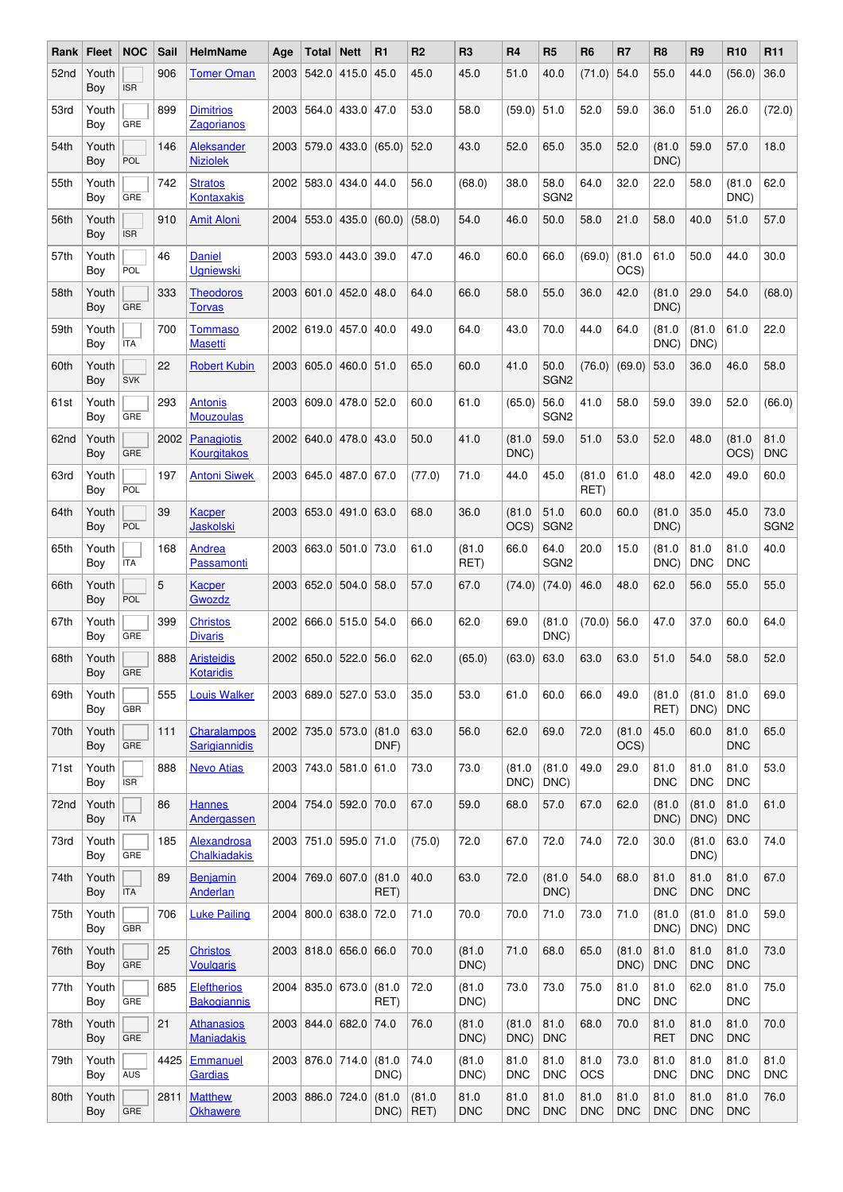| Rank ∣ | <b>Fleet</b> | <b>NOC</b> | Sail | <b>HelmName</b>                          | Age  | Total            | <b>Nett</b>                 | R1             | R <sub>2</sub>     | R <sub>3</sub>     | R <sub>4</sub>     | R <sub>5</sub>           | R <sub>6</sub>     | R7                 | R <sub>8</sub>     | R <sub>9</sub>     | R <sub>10</sub>    | R <sub>11</sub>          |
|--------|--------------|------------|------|------------------------------------------|------|------------------|-----------------------------|----------------|--------------------|--------------------|--------------------|--------------------------|--------------------|--------------------|--------------------|--------------------|--------------------|--------------------------|
| 52nd   | Youth<br>Boy | <b>ISR</b> | 906  | <b>Tomer Oman</b>                        | 2003 | 542.0            | 415.0                       | 45.0           | 45.0               | 45.0               | 51.0               | 40.0                     | (71.0)             | 54.0               | 55.0               | 44.0               | (56.0)             | 36.0                     |
| 53rd   | Youth<br>Boy | GRE        | 899  | <b>Dimitrios</b><br>Zagorianos           |      |                  | 2003 564.0 433.0 47.0       |                | 53.0               | 58.0               | (59.0)             | 51.0                     | 52.0               | 59.0               | 36.0               | 51.0               | 26.0               | (72.0)                   |
| 54th   | Youth<br>Boy | POL        | 146  | Aleksander<br><b>Niziolek</b>            | 2003 | 579.0            | 433.0                       | (65.0)         | 52.0               | 43.0               | 52.0               | 65.0                     | 35.0               | 52.0               | (81.0)<br>DNC)     | 59.0               | 57.0               | 18.0                     |
| 55th   | Youth<br>Boy | GRE        | 742  | <b>Stratos</b><br><b>Kontaxakis</b>      | 2002 | 583.0            | 434.0                       | 44.0           | 56.0               | (68.0)             | 38.0               | 58.0<br>SGN <sub>2</sub> | 64.0               | 32.0               | 22.0               | 58.0               | (81.0)<br>DNC)     | 62.0                     |
| 56th   | Youth<br>Boy | <b>ISR</b> | 910  | <b>Amit Aloni</b>                        |      | 2004 553.0       | 435.0                       | (60.0)         | (58.0)             | 54.0               | 46.0               | 50.0                     | 58.0               | 21.0               | 58.0               | 40.0               | 51.0               | 57.0                     |
| 57th   | Youth<br>Boy | POL        | 46   | <b>Daniel</b><br><b>Ugniewski</b>        | 2003 | 593.0            | 443.0                       | 39.0           | 47.0               | 46.0               | 60.0               | 66.0                     | (69.0)             | (81.0)<br>OCS)     | 61.0               | 50.0               | 44.0               | 30.0                     |
| 58th   | Youth<br>Boy | GRE        | 333  | Theodoros<br><b>Torvas</b>               | 2003 |                  | $601.0$ 452.0               | 48.0           | 64.0               | 66.0               | 58.0               | 55.0                     | 36.0               | 42.0               | (81.0)<br>DNC)     | 29.0               | 54.0               | (68.0)                   |
| 59th   | Youth<br>Boy | <b>ITA</b> | 700  | Tommaso<br><b>Masetti</b>                |      |                  | 2002 619.0 457.0            | 40.0           | 49.0               | 64.0               | 43.0               | 70.0                     | 44.0               | 64.0               | (81.0)<br>DNC)     | (81.0)<br>DNC)     | 61.0               | 22.0                     |
| 60th   | Youth<br>Boy | <b>SVK</b> | 22   | <b>Robert Kubin</b>                      | 2003 |                  | 605.0 460.0 51.0            |                | 65.0               | 60.0               | 41.0               | 50.0<br>SGN <sub>2</sub> | (76.0)             | (69.0)             | 53.0               | 36.0               | 46.0               | 58.0                     |
| 61st   | Youth<br>Boy | GRE        | 293  | <b>Antonis</b><br><b>Mouzoulas</b>       |      |                  | 2003 609.0 478.0            | 52.0           | 60.0               | 61.0               | (65.0)             | 56.0<br>SGN <sub>2</sub> | 41.0               | 58.0               | 59.0               | 39.0               | 52.0               | (66.0)                   |
| 62nd   | Youth<br>Boy | <b>GRE</b> | 2002 | <b>Panagiotis</b><br><b>Kourgitakos</b>  | 2002 | 640.0            | 478.0                       | 43.0           | 50.0               | 41.0               | (81.0)<br>DNC)     | 59.0                     | 51.0               | 53.0               | 52.0               | 48.0               | (81.0)<br>OCS)     | 81.0<br><b>DNC</b>       |
| 63rd   | Youth<br>Boy | <b>POL</b> | 197  | <b>Antoni Siwek</b>                      |      |                  | 2003 645.0 487.0 67.0       |                | (77.0)             | 71.0               | 44.0               | 45.0                     | (81.0)<br>RET)     | 61.0               | 48.0               | 42.0               | 49.0               | 60.0                     |
| 64th   | Youth<br>Boy | POL        | 39   | Kacper<br><b>Jaskolski</b>               | 2003 | 653.0            | 491.0 63.0                  |                | 68.0               | 36.0               | (81.0)<br>OCS)     | 51.0<br>SGN <sub>2</sub> | 60.0               | 60.0               | (81.0)<br>DNC)     | 35.0               | 45.0               | 73.0<br>SGN <sub>2</sub> |
| 65th   | Youth<br>Boy | <b>ITA</b> | 168  | Andrea<br>Passamonti                     | 2003 |                  | 663.0 501.0                 | 73.0           | 61.0               | (81.0)<br>RET)     | 66.0               | 64.0<br>SGN <sub>2</sub> | 20.0               | 15.0               | (81.0)<br>DNC)     | 81.0<br><b>DNC</b> | 81.0<br><b>DNC</b> | 40.0                     |
| 66th   | Youth<br>Boy | POL        | 5    | Kacper<br>Gwozdz                         |      |                  | 2003 652.0 504.0 58.0       |                | 57.0               | 67.0               | (74.0)             | (74.0)                   | 46.0               | 48.0               | 62.0               | 56.0               | 55.0               | 55.0                     |
| 67th   | Youth<br>Boy | GRE        | 399  | <b>Christos</b><br><b>Divaris</b>        | 2002 |                  | 666.0 515.0 54.0            |                | 66.0               | 62.0               | 69.0               | (81.0)<br>DNC)           | (70.0)             | 56.0               | 47.0               | 37.0               | 60.0               | 64.0                     |
| 68th   | Youth<br>Boy | GRE        | 888  | <b>Aristeidis</b><br><b>Kotaridis</b>    | 2002 | 650.0            | 522.0                       | 56.0           | 62.0               | (65.0)             | (63.0)             | 63.0                     | 63.0               | 63.0               | 51.0               | 54.0               | 58.0               | 52.0                     |
| 69th   | Youth<br>Boy | <b>GBR</b> | 555  | <b>Louis Walker</b>                      |      |                  | 2003   689.0   527.0   53.0 |                | 35.0               | 53.0               | 61.0               | 60.0                     | 66.0               | 49.0               | (81.0)<br>RET)     | (81.0)<br>DNC)     | 81.0<br><b>DNC</b> | 69.0                     |
| 70th   | Youth<br>Boy | GRE        | 111  | Charalampos<br>Sarigiannidis             |      |                  | 2002 735.0 573.0 (81.0)     | DNF)           | 63.0               | 56.0               | 62.0               | 69.0                     | 72.0               | (81.0)<br>OCS)     | 45.0               | 60.0               | 81.0<br><b>DNC</b> | 65.0                     |
| 71st   | Youth<br>Boy | <b>ISR</b> | 888  | <b>Nevo Atias</b>                        |      |                  | 2003 743.0 581.0 61.0       |                | 73.0               | 73.0               | (81.0)<br>DNC)     | (81.0)<br>DNC)           | 49.0               | 29.0               | 81.0<br><b>DNC</b> | 81.0<br><b>DNC</b> | 81.0<br><b>DNC</b> | 53.0                     |
| 72nd   | Youth<br>Boy | <b>ITA</b> | 86   | <b>Hannes</b><br>Andergassen             | 2004 |                  | 754.0 592.0                 | 70.0           | 67.0               | 59.0               | 68.0               | 57.0                     | 67.0               | 62.0               | (81.0)<br>DNC)     | (81.0)<br>DNC)     | 81.0<br><b>DNC</b> | 61.0                     |
| 73rd   | Youth<br>Boy | GRE        | 185  | Alexandrosa<br>Chalkiadakis              |      |                  | 2003 751.0 595.0 71.0       |                | (75.0)             | 72.0               | 67.0               | 72.0                     | 74.0               | 72.0               | 30.0               | (81.0)<br>DNC)     | 63.0               | 74.0                     |
| 74th   | Youth<br>Boy | <b>ITA</b> | 89   | Benjamin<br><b>Anderlan</b>              | 2004 |                  | 769.0 607.0                 | (81.0)<br>RET) | 40.0               | 63.0               | 72.0               | (81.0)<br>DNC)           | 54.0               | 68.0               | 81.0<br><b>DNC</b> | 81.0<br><b>DNC</b> | 81.0<br><b>DNC</b> | 67.0                     |
| 75th   | Youth<br>Boy | <b>GBR</b> | 706  | <b>Luke Pailing</b>                      |      | 2004 800.0 638.0 |                             | 72.0           | 71.0               | 70.0               | 70.0               | 71.0                     | 73.0               | 71.0               | (81.0)<br>DNC)     | (81.0)<br>DNC)     | 81.0<br><b>DNC</b> | 59.0                     |
| 76th   | Youth<br>Boy | GRE        | 25   | <b>Christos</b><br><b>Voulgaris</b>      |      |                  | 2003 818.0 656.0 66.0       |                | 70.0               | (81.0)<br>DNC)     | 71.0               | 68.0                     | 65.0               | (81.0)<br>DNC)     | 81.0<br><b>DNC</b> | 81.0<br><b>DNC</b> | 81.0<br><b>DNC</b> | 73.0                     |
| 77th   | Youth<br>Boy | GRE        | 685  | <b>Eleftherios</b><br><b>Bakogiannis</b> | 2004 |                  | 835.0 673.0                 | (81.0)<br>RET) | 72.0               | (81.0)<br>DNC)     | 73.0               | 73.0                     | 75.0               | 81.0<br><b>DNC</b> | 81.0<br><b>DNC</b> | 62.0               | 81.0<br><b>DNC</b> | 75.0                     |
| 78th   | Youth<br>Boy | GRE        | 21   | <b>Athanasios</b><br><b>Maniadakis</b>   |      | 2003 844.0 682.0 |                             | 74.0           | 76.0               | (81.0)<br>DNC)     | (81.0<br>DNC)      | 81.0<br><b>DNC</b>       | 68.0               | 70.0               | 81.0<br><b>RET</b> | 81.0<br><b>DNC</b> | 81.0<br><b>DNC</b> | 70.0                     |
| 79th   | Youth<br>Boy | <b>AUS</b> | 4425 | Emmanuel<br>Gardias                      |      | 2003 876.0 714.0 |                             | (81.0)<br>DNC) | 74.0               | (81.0<br>DNC)      | 81.0<br><b>DNC</b> | 81.0<br><b>DNC</b>       | 81.0<br><b>OCS</b> | 73.0               | 81.0<br><b>DNC</b> | 81.0<br><b>DNC</b> | 81.0<br><b>DNC</b> | 81.0<br><b>DNC</b>       |
| 80th   | Youth<br>Boy | GRE        | 2811 | <b>Matthew</b><br><b>Okhawere</b>        |      | 2003 886.0 724.0 |                             | (81.0)<br>DNC) | (81.0)<br>$ $ RET) | 81.0<br><b>DNC</b> | 81.0<br><b>DNC</b> | 81.0<br><b>DNC</b>       | 81.0<br><b>DNC</b> | 81.0<br><b>DNC</b> | 81.0<br><b>DNC</b> | 81.0<br><b>DNC</b> | 81.0<br><b>DNC</b> | 76.0                     |